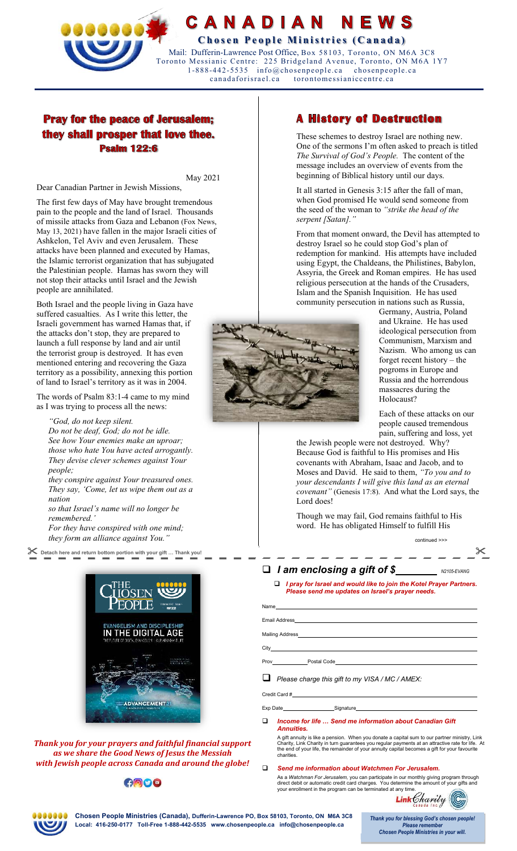

### CANADIAN NEWS

**Chosen People Ministries (Canada)** 

 Mail: Dufferin-Lawrence Post Office, Box 58103, Toronto, ON M6A 3C8 Toronto Messianic Centre: 225 Bridgeland Avenue, Toronto, ON M6A 1Y7 1-888-442-5535 info@chosenpeople.ca chosenpeople.ca torontomessianiccentre.ca

# **Pray for the peace of Jerusalem;** they shall prosper that love thee. **Psalm 122:6**

May 2021

Dear Canadian Partner in Jewish Missions,

The first few days of May have brought tremendous pain to the people and the land of Israel. Thousands of missile attacks from Gaza and Lebanon (Fox News, May 13, 2021) have fallen in the major Israeli cities of Ashkelon, Tel Aviv and even Jerusalem. These attacks have been planned and executed by Hamas, the Islamic terrorist organization that has subjugated the Palestinian people. Hamas has sworn they will not stop their attacks until Israel and the Jewish people are annihilated.

Both Israel and the people living in Gaza have suffered casualties. As I write this letter, the Israeli government has warned Hamas that, if the attacks don't stop, they are prepared to launch a full response by land and air until the terrorist group is destroyed. It has even mentioned entering and recovering the Gaza territory as a possibility, annexing this portion of land to Israel's territory as it was in 2004.

The words of Psalm 83:1-4 came to my mind as I was trying to process all the news:

*"God, do not keep silent. Do not be deaf, God; do not be idle. See how Your enemies make an uproar; those who hate You have acted arrogantly. They devise clever schemes against Your people;* 

*they conspire against Your treasured ones. They say, 'Come, let us wipe them out as a nation* 

*so that Israel's name will no longer be remembered.'* 

*For they have conspired with one mind; they form an alliance against You."* 



*Thank you for your prayers and faithful financial support as we share the Good News of Jesus the Messiah with Jewish people across Canada and around the globe!* 

## GOOO

# **A History of Destruction**

These schemes to destroy Israel are nothing new. One of the sermons I'm often asked to preach is titled *The Survival of God's People.* The content of the message includes an overview of events from the beginning of Biblical history until our days.

It all started in Genesis 3:15 after the fall of man, when God promised He would send someone from the seed of the woman to *"strike the head of the serpent [Satan]."*

From that moment onward, the Devil has attempted to destroy Israel so he could stop God's plan of redemption for mankind. His attempts have included using Egypt, the Chaldeans, the Philistines, Babylon, Assyria, the Greek and Roman empires. He has used religious persecution at the hands of the Crusaders, Islam and the Spanish Inquisition. He has used community persecution in nations such as Russia,



Germany, Austria, Poland and Ukraine. He has used ideological persecution from Communism, Marxism and Nazism. Who among us can forget recent history – the pogroms in Europe and Russia and the horrendous massacres during the Holocaust?

Each of these attacks on our people caused tremendous pain, suffering and loss, yet

continued >>>

the Jewish people were not destroyed. Why? Because God is faithful to His promises and His covenants with Abraham, Isaac and Jacob, and to Moses and David. He said to them, *"To you and to your descendants I will give this land as an eternal covenant"* (Genesis 17:8). And what the Lord says, the Lord does!

Though we may fail, God remains faithful to His word. He has obligated Himself to fulfill His

| Detach here and return bottom portion with your gift  Thank you! |                                                                                                                                |             |
|------------------------------------------------------------------|--------------------------------------------------------------------------------------------------------------------------------|-------------|
|                                                                  | $\Box$ I am enclosing a gift of \$                                                                                             | N2105-EVANG |
|                                                                  | $\Box$ I pray for Israel and would like to join the Kotel Prayer Partners.<br>Please send me updates on Israel's prayer needs. |             |

| ۱e         |  |  |
|------------|--|--|
|            |  |  |
| il Address |  |  |
|            |  |  |

Mailing Address **City** 

Name Ema

Prov Postal Code

*Please charge this gift to my VISA / MC / AMEX:* 

Credit Card #

Exp Date Signature

 *Income for life … Send me information about Canadian Gift Annuities.*

A gift annuity is like a pension. When you donate a capital sum to our partner ministry, Link<br>Charity, Link Charity in turn guarantees you regular payments at an attractive rate for life. At<br>the end of your life, the rem charities.

 *Send me information about Watchmen For Jerusalem.*  As a *Watchman For Jerusalem,* you can participate in our monthly giving program through<br>direct debit or automatic credit card charges. You determine the amount of your gifts and<br>your enrollment in the program can be termi





**Chosen People Ministries (Canada), Dufferin-Lawrence PO, Box 58103, Toronto, ON M6A 3C8 Local: 416-250-0177 Toll-Free 1-888-442-5535 www.chosenpeople.ca info@chosenpeople.ca** 

Thank you for blessing God's chosen people! **Please remember Chosen People Ministries in your will.**